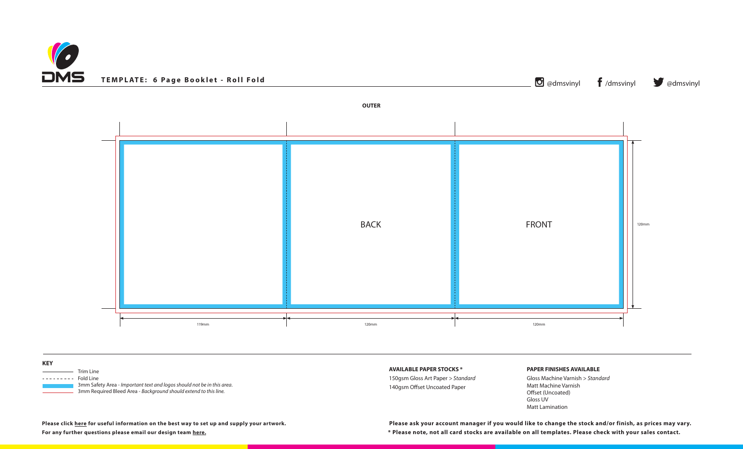



150gsm Gloss Art Paper *> Standard* I Paper

**AVAILABLE PAPER STOCKS \***

## **PAPER FINISHES AVAILABLE**

Gloss Machine Varnish *> Standard* Matt Machine Varnish Offset (Uncoated) Gloss UV Matt Lamination

**\* Please note, not all card stocks are available on all templates. Please check with your sales contact. Please click [here](https://www.discmanufacturingservices.com/cd/templates#artwork-specifications) for useful information on the best way to set up and supply your artwork. Please ask your account manager if you would like to change the stock and/or finish, as prices may vary.**

| <b>KEY</b>                                                                                                                                 |                             |
|--------------------------------------------------------------------------------------------------------------------------------------------|-----------------------------|
| Trim Line                                                                                                                                  | <b>AVAILABLE PAPER STOC</b> |
| Fold Line<br>. <u>.</u>                                                                                                                    | 150gsm Gloss Art Paper >    |
| 3mm Safety Area - Important text and logos should not be in this area.<br>3mm Required Bleed Area - Background should extend to this line. | 140gsm Offset Uncoated      |
|                                                                                                                                            |                             |

**For any further questions please email our design team [here](mailto:graphics%40discmanufacturingservices.com?subject=Template%20Enquiry).**